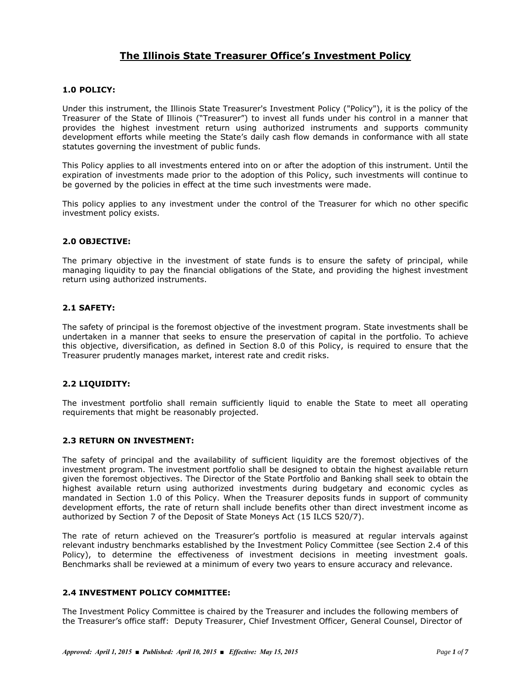# **The Illinois State Treasurer Office's Investment Policy**

#### **1.0 POLICY:**

Under this instrument, the Illinois State Treasurer's Investment Policy ("Policy"), it is the policy of the Treasurer of the State of Illinois ("Treasurer") to invest all funds under his control in a manner that provides the highest investment return using authorized instruments and supports community development efforts while meeting the State's daily cash flow demands in conformance with all state statutes governing the investment of public funds.

This Policy applies to all investments entered into on or after the adoption of this instrument. Until the expiration of investments made prior to the adoption of this Policy, such investments will continue to be governed by the policies in effect at the time such investments were made.

This policy applies to any investment under the control of the Treasurer for which no other specific investment policy exists.

#### **2.0 OBJECTIVE:**

The primary objective in the investment of state funds is to ensure the safety of principal, while managing liquidity to pay the financial obligations of the State, and providing the highest investment return using authorized instruments.

# **2.1 SAFETY:**

The safety of principal is the foremost objective of the investment program. State investments shall be undertaken in a manner that seeks to ensure the preservation of capital in the portfolio. To achieve this objective, diversification, as defined in Section 8.0 of this Policy, is required to ensure that the Treasurer prudently manages market, interest rate and credit risks.

# **2.2 LIQUIDITY:**

The investment portfolio shall remain sufficiently liquid to enable the State to meet all operating requirements that might be reasonably projected.

#### **2.3 RETURN ON INVESTMENT:**

The safety of principal and the availability of sufficient liquidity are the foremost objectives of the investment program. The investment portfolio shall be designed to obtain the highest available return given the foremost objectives. The Director of the State Portfolio and Banking shall seek to obtain the highest available return using authorized investments during budgetary and economic cycles as mandated in Section 1.0 of this Policy. When the Treasurer deposits funds in support of community development efforts, the rate of return shall include benefits other than direct investment income as authorized by Section 7 of the Deposit of State Moneys Act (15 ILCS 520/7).

The rate of return achieved on the Treasurer's portfolio is measured at regular intervals against relevant industry benchmarks established by the Investment Policy Committee (see Section 2.4 of this Policy), to determine the effectiveness of investment decisions in meeting investment goals. Benchmarks shall be reviewed at a minimum of every two years to ensure accuracy and relevance.

# **2.4 INVESTMENT POLICY COMMITTEE:**

The Investment Policy Committee is chaired by the Treasurer and includes the following members of the Treasurer's office staff: Deputy Treasurer, Chief Investment Officer, General Counsel, Director of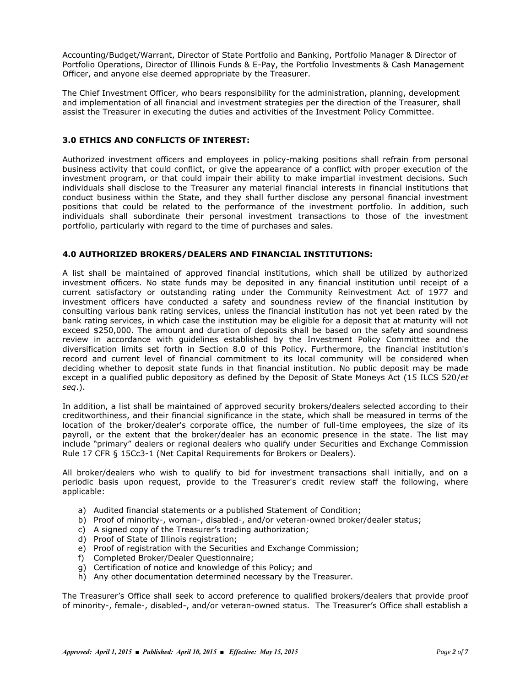Accounting/Budget/Warrant, Director of State Portfolio and Banking, Portfolio Manager & Director of Portfolio Operations, Director of Illinois Funds & E-Pay, the Portfolio Investments & Cash Management Officer, and anyone else deemed appropriate by the Treasurer.

The Chief Investment Officer, who bears responsibility for the administration, planning, development and implementation of all financial and investment strategies per the direction of the Treasurer, shall assist the Treasurer in executing the duties and activities of the Investment Policy Committee.

# **3.0 ETHICS AND CONFLICTS OF INTEREST:**

Authorized investment officers and employees in policy-making positions shall refrain from personal business activity that could conflict, or give the appearance of a conflict with proper execution of the investment program, or that could impair their ability to make impartial investment decisions. Such individuals shall disclose to the Treasurer any material financial interests in financial institutions that conduct business within the State, and they shall further disclose any personal financial investment positions that could be related to the performance of the investment portfolio. In addition, such individuals shall subordinate their personal investment transactions to those of the investment portfolio, particularly with regard to the time of purchases and sales.

#### **4.0 AUTHORIZED BROKERS/DEALERS AND FINANCIAL INSTITUTIONS:**

A list shall be maintained of approved financial institutions, which shall be utilized by authorized investment officers. No state funds may be deposited in any financial institution until receipt of a current satisfactory or outstanding rating under the Community Reinvestment Act of 1977 and investment officers have conducted a safety and soundness review of the financial institution by consulting various bank rating services, unless the financial institution has not yet been rated by the bank rating services, in which case the institution may be eligible for a deposit that at maturity will not exceed \$250,000. The amount and duration of deposits shall be based on the safety and soundness review in accordance with guidelines established by the Investment Policy Committee and the diversification limits set forth in Section 8.0 of this Policy. Furthermore, the financial institution's record and current level of financial commitment to its local community will be considered when deciding whether to deposit state funds in that financial institution. No public deposit may be made except in a qualified public depository as defined by the Deposit of State Moneys Act (15 ILCS 520/*et seq*.).

In addition, a list shall be maintained of approved security brokers/dealers selected according to their creditworthiness, and their financial significance in the state, which shall be measured in terms of the location of the broker/dealer's corporate office, the number of full-time employees, the size of its payroll, or the extent that the broker/dealer has an economic presence in the state. The list may include "primary" dealers or regional dealers who qualify under Securities and Exchange Commission Rule 17 CFR § 15Cc3-1 (Net Capital Requirements for Brokers or Dealers).

All broker/dealers who wish to qualify to bid for investment transactions shall initially, and on a periodic basis upon request, provide to the Treasurer's credit review staff the following, where applicable:

- a) Audited financial statements or a published Statement of Condition;
- b) Proof of minority-, woman-, disabled-, and/or veteran-owned broker/dealer status;
- c) A signed copy of the Treasurer's trading authorization;
- d) Proof of State of Illinois registration;
- e) Proof of registration with the Securities and Exchange Commission;
- f) Completed Broker/Dealer Questionnaire;
- g) Certification of notice and knowledge of this Policy; and
- h) Any other documentation determined necessary by the Treasurer.

The Treasurer's Office shall seek to accord preference to qualified brokers/dealers that provide proof of minority-, female-, disabled-, and/or veteran-owned status. The Treasurer's Office shall establish a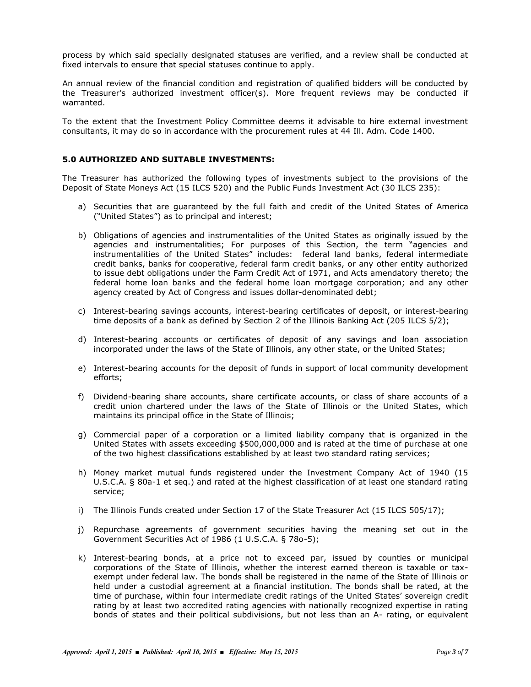process by which said specially designated statuses are verified, and a review shall be conducted at fixed intervals to ensure that special statuses continue to apply.

An annual review of the financial condition and registration of qualified bidders will be conducted by the Treasurer's authorized investment officer(s). More frequent reviews may be conducted if warranted.

To the extent that the Investment Policy Committee deems it advisable to hire external investment consultants, it may do so in accordance with the procurement rules at 44 Ill. Adm. Code 1400.

# **5.0 AUTHORIZED AND SUITABLE INVESTMENTS:**

The Treasurer has authorized the following types of investments subject to the provisions of the Deposit of State Moneys Act (15 ILCS 520) and the Public Funds Investment Act (30 ILCS 235):

- a) Securities that are guaranteed by the full faith and credit of the United States of America ("United States") as to principal and interest;
- b) Obligations of agencies and instrumentalities of the United States as originally issued by the agencies and instrumentalities; For purposes of this Section, the term "agencies and instrumentalities of the United States" includes: federal land banks, federal intermediate credit banks, banks for cooperative, federal farm credit banks, or any other entity authorized to issue debt obligations under the Farm Credit Act of 1971, and Acts amendatory thereto; the federal home loan banks and the federal home loan mortgage corporation; and any other agency created by Act of Congress and issues dollar-denominated debt;
- c) Interest-bearing savings accounts, interest-bearing certificates of deposit, or interest-bearing time deposits of a bank as defined by Section 2 of the Illinois Banking Act (205 ILCS 5/2);
- d) Interest-bearing accounts or certificates of deposit of any savings and loan association incorporated under the laws of the State of Illinois, any other state, or the United States;
- e) Interest-bearing accounts for the deposit of funds in support of local community development efforts;
- f) Dividend-bearing share accounts, share certificate accounts, or class of share accounts of a credit union chartered under the laws of the State of Illinois or the United States, which maintains its principal office in the State of Illinois;
- g) Commercial paper of a corporation or a limited liability company that is organized in the United States with assets exceeding \$500,000,000 and is rated at the time of purchase at one of the two highest classifications established by at least two standard rating services;
- h) Money market mutual funds registered under the Investment Company Act of 1940 (15 U.S.C.A. § 80a-1 et seq.) and rated at the highest classification of at least one standard rating service;
- i) The Illinois Funds created under Section 17 of the State Treasurer Act (15 ILCS 505/17);
- j) Repurchase agreements of government securities having the meaning set out in the Government Securities Act of 1986 (1 U.S.C.A. § 78o-5);
- k) Interest-bearing bonds, at a price not to exceed par, issued by counties or municipal corporations of the State of Illinois, whether the interest earned thereon is taxable or taxexempt under federal law. The bonds shall be registered in the name of the State of Illinois or held under a custodial agreement at a financial institution. The bonds shall be rated, at the time of purchase, within four intermediate credit ratings of the United States' sovereign credit rating by at least two accredited rating agencies with nationally recognized expertise in rating bonds of states and their political subdivisions, but not less than an A- rating, or equivalent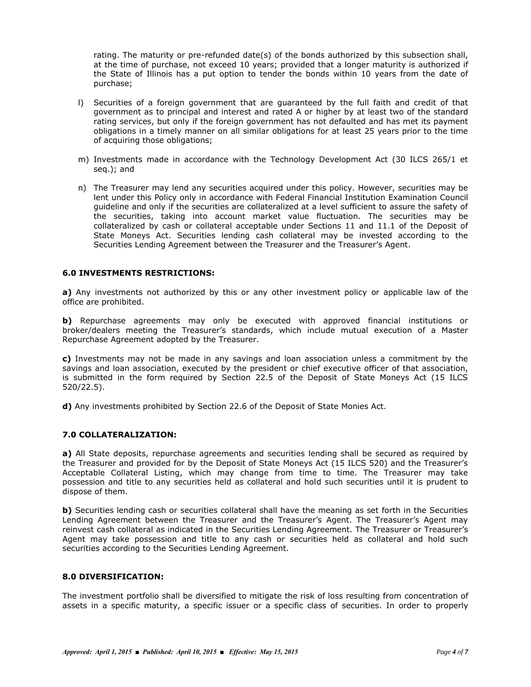rating. The maturity or pre-refunded date(s) of the bonds authorized by this subsection shall, at the time of purchase, not exceed 10 years; provided that a longer maturity is authorized if the State of Illinois has a put option to tender the bonds within 10 years from the date of purchase;

- l) Securities of a foreign government that are guaranteed by the full faith and credit of that government as to principal and interest and rated A or higher by at least two of the standard rating services, but only if the foreign government has not defaulted and has met its payment obligations in a timely manner on all similar obligations for at least 25 years prior to the time of acquiring those obligations;
- m) Investments made in accordance with the Technology Development Act (30 ILCS 265/1 et seq.); and
- n) The Treasurer may lend any securities acquired under this policy. However, securities may be lent under this Policy only in accordance with Federal Financial Institution Examination Council guideline and only if the securities are collateralized at a level sufficient to assure the safety of the securities, taking into account market value fluctuation. The securities may be collateralized by cash or collateral acceptable under Sections 11 and 11.1 of the Deposit of State Moneys Act. Securities lending cash collateral may be invested according to the Securities Lending Agreement between the Treasurer and the Treasurer's Agent.

# **6.0 INVESTMENTS RESTRICTIONS:**

**a)** Any investments not authorized by this or any other investment policy or applicable law of the office are prohibited.

**b)** Repurchase agreements may only be executed with approved financial institutions or broker/dealers meeting the Treasurer's standards, which include mutual execution of a Master Repurchase Agreement adopted by the Treasurer.

**c)** Investments may not be made in any savings and loan association unless a commitment by the savings and loan association, executed by the president or chief executive officer of that association, is submitted in the form required by Section 22.5 of the Deposit of State Moneys Act (15 ILCS 520/22.5).

**d)** Any investments prohibited by Section 22.6 of the Deposit of State Monies Act.

# **7.0 COLLATERALIZATION:**

**a)** All State deposits, repurchase agreements and securities lending shall be secured as required by the Treasurer and provided for by the Deposit of State Moneys Act (15 ILCS 520) and the Treasurer's Acceptable Collateral Listing, which may change from time to time. The Treasurer may take possession and title to any securities held as collateral and hold such securities until it is prudent to dispose of them.

**b)** Securities lending cash or securities collateral shall have the meaning as set forth in the Securities Lending Agreement between the Treasurer and the Treasurer's Agent. The Treasurer's Agent may reinvest cash collateral as indicated in the Securities Lending Agreement. The Treasurer or Treasurer's Agent may take possession and title to any cash or securities held as collateral and hold such securities according to the Securities Lending Agreement.

#### **8.0 DIVERSIFICATION:**

The investment portfolio shall be diversified to mitigate the risk of loss resulting from concentration of assets in a specific maturity, a specific issuer or a specific class of securities. In order to properly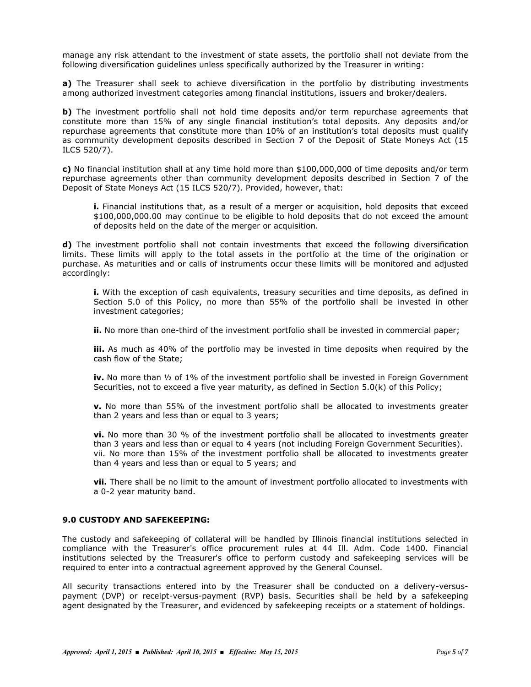manage any risk attendant to the investment of state assets, the portfolio shall not deviate from the following diversification guidelines unless specifically authorized by the Treasurer in writing:

**a)** The Treasurer shall seek to achieve diversification in the portfolio by distributing investments among authorized investment categories among financial institutions, issuers and broker/dealers.

**b)** The investment portfolio shall not hold time deposits and/or term repurchase agreements that constitute more than 15% of any single financial institution's total deposits. Any deposits and/or repurchase agreements that constitute more than 10% of an institution's total deposits must qualify as community development deposits described in Section 7 of the Deposit of State Moneys Act (15 ILCS 520/7).

**c)** No financial institution shall at any time hold more than \$100,000,000 of time deposits and/or term repurchase agreements other than community development deposits described in Section 7 of the Deposit of State Moneys Act (15 ILCS 520/7). Provided, however, that:

**i.** Financial institutions that, as a result of a merger or acquisition, hold deposits that exceed \$100,000,000.00 may continue to be eligible to hold deposits that do not exceed the amount of deposits held on the date of the merger or acquisition.

**d)** The investment portfolio shall not contain investments that exceed the following diversification limits. These limits will apply to the total assets in the portfolio at the time of the origination or purchase. As maturities and or calls of instruments occur these limits will be monitored and adjusted accordingly:

**i.** With the exception of cash equivalents, treasury securities and time deposits, as defined in Section 5.0 of this Policy, no more than 55% of the portfolio shall be invested in other investment categories;

**ii.** No more than one-third of the investment portfolio shall be invested in commercial paper;

**iii.** As much as 40% of the portfolio may be invested in time deposits when required by the cash flow of the State;

**iv.** No more than ½ of 1% of the investment portfolio shall be invested in Foreign Government Securities, not to exceed a five year maturity, as defined in Section 5.0(k) of this Policy;

**v.** No more than 55% of the investment portfolio shall be allocated to investments greater than 2 years and less than or equal to 3 years;

**vi.** No more than 30 % of the investment portfolio shall be allocated to investments greater than 3 years and less than or equal to 4 years (not including Foreign Government Securities). vii. No more than 15% of the investment portfolio shall be allocated to investments greater than 4 years and less than or equal to 5 years; and

**vii.** There shall be no limit to the amount of investment portfolio allocated to investments with a 0-2 year maturity band.

#### **9.0 CUSTODY AND SAFEKEEPING:**

The custody and safekeeping of collateral will be handled by Illinois financial institutions selected in compliance with the Treasurer's office procurement rules at 44 Ill. Adm. Code 1400. Financial institutions selected by the Treasurer's office to perform custody and safekeeping services will be required to enter into a contractual agreement approved by the General Counsel.

All security transactions entered into by the Treasurer shall be conducted on a delivery-versuspayment (DVP) or receipt-versus-payment (RVP) basis. Securities shall be held by a safekeeping agent designated by the Treasurer, and evidenced by safekeeping receipts or a statement of holdings.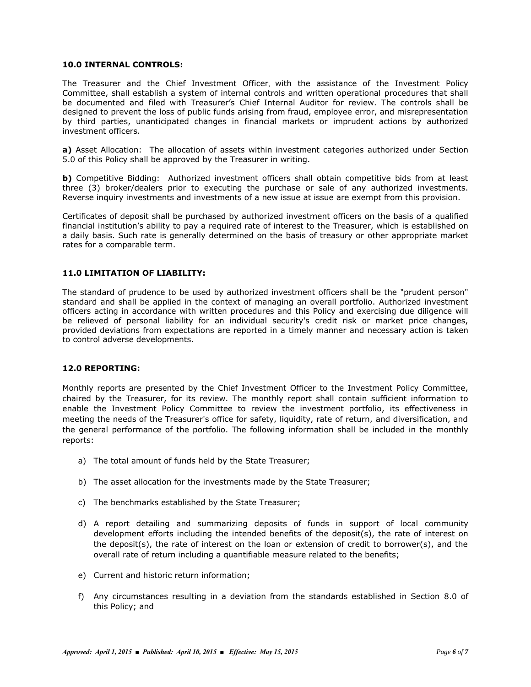# **10.0 INTERNAL CONTROLS:**

The Treasurer and the Chief Investment Officer, with the assistance of the Investment Policy Committee, shall establish a system of internal controls and written operational procedures that shall be documented and filed with Treasurer's Chief Internal Auditor for review. The controls shall be designed to prevent the loss of public funds arising from fraud, employee error, and misrepresentation by third parties, unanticipated changes in financial markets or imprudent actions by authorized investment officers.

**a)** Asset Allocation: The allocation of assets within investment categories authorized under Section 5.0 of this Policy shall be approved by the Treasurer in writing.

**b)** Competitive Bidding: Authorized investment officers shall obtain competitive bids from at least three (3) broker/dealers prior to executing the purchase or sale of any authorized investments. Reverse inquiry investments and investments of a new issue at issue are exempt from this provision.

Certificates of deposit shall be purchased by authorized investment officers on the basis of a qualified financial institution's ability to pay a required rate of interest to the Treasurer, which is established on a daily basis. Such rate is generally determined on the basis of treasury or other appropriate market rates for a comparable term.

#### **11.0 LIMITATION OF LIABILITY:**

The standard of prudence to be used by authorized investment officers shall be the "prudent person" standard and shall be applied in the context of managing an overall portfolio. Authorized investment officers acting in accordance with written procedures and this Policy and exercising due diligence will be relieved of personal liability for an individual security's credit risk or market price changes, provided deviations from expectations are reported in a timely manner and necessary action is taken to control adverse developments.

# **12.0 REPORTING:**

Monthly reports are presented by the Chief Investment Officer to the Investment Policy Committee, chaired by the Treasurer, for its review. The monthly report shall contain sufficient information to enable the Investment Policy Committee to review the investment portfolio, its effectiveness in meeting the needs of the Treasurer's office for safety, liquidity, rate of return, and diversification, and the general performance of the portfolio. The following information shall be included in the monthly reports:

- a) The total amount of funds held by the State Treasurer;
- b) The asset allocation for the investments made by the State Treasurer;
- c) The benchmarks established by the State Treasurer;
- d) A report detailing and summarizing deposits of funds in support of local community development efforts including the intended benefits of the deposit(s), the rate of interest on the deposit(s), the rate of interest on the loan or extension of credit to borrower(s), and the overall rate of return including a quantifiable measure related to the benefits;
- e) Current and historic return information;
- f) Any circumstances resulting in a deviation from the standards established in Section 8.0 of this Policy; and